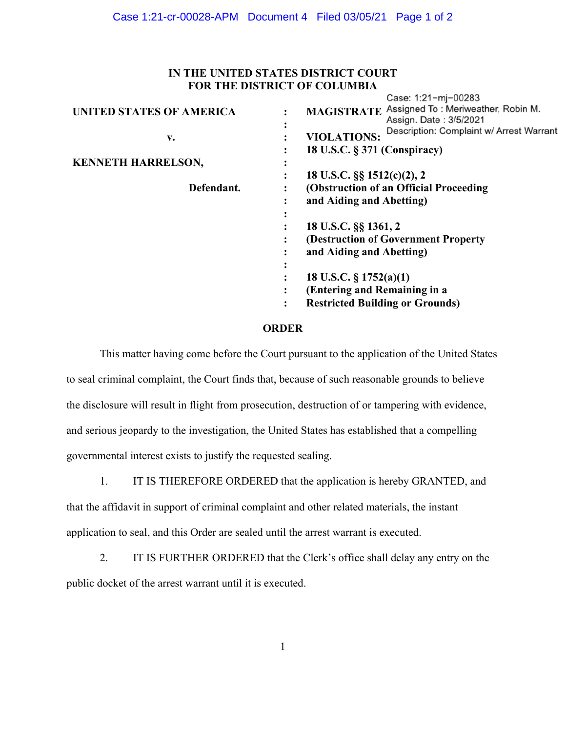## **IN THE UNITED STATES DISTRICT COURT FOR THE DISTRICT OF COLUMBIA**

|                                 |           | Case: 1:21-mj-00283                                                     |
|---------------------------------|-----------|-------------------------------------------------------------------------|
| <b>UNITED STATES OF AMERICA</b> |           | MAGISTRATE Assigned To: Meriweather, Robin M.<br>Assign. Date: 3/5/2021 |
| v.                              | $\bullet$ | Description: Complaint w/ Arrest Warrant<br><b>VIOLATIONS:</b>          |
|                                 |           | 18 U.S.C. § 371 (Conspiracy)                                            |
| <b>KENNETH HARRELSON,</b>       |           |                                                                         |
|                                 |           | 18 U.S.C. §§ 1512(c)(2), 2                                              |
| Defendant.                      |           | (Obstruction of an Official Proceeding                                  |
|                                 |           | and Aiding and Abetting)                                                |
|                                 | $\bullet$ |                                                                         |
|                                 |           | 18 U.S.C. §§ 1361, 2                                                    |
|                                 |           | (Destruction of Government Property)                                    |
|                                 |           | and Aiding and Abetting)                                                |
|                                 | ٠         |                                                                         |
|                                 | $\bullet$ | 18 U.S.C. $\S 1752(a)(1)$                                               |
|                                 |           | (Entering and Remaining in a                                            |
|                                 |           | <b>Restricted Building or Grounds)</b>                                  |
|                                 |           |                                                                         |

## **ORDER**

This matter having come before the Court pursuant to the application of the United States to seal criminal complaint, the Court finds that, because of such reasonable grounds to believe the disclosure will result in flight from prosecution, destruction of or tampering with evidence, and serious jeopardy to the investigation, the United States has established that a compelling governmental interest exists to justify the requested sealing.

1. IT IS THEREFORE ORDERED that the application is hereby GRANTED, and

that the affidavit in support of criminal complaint and other related materials, the instant application to seal, and this Order are sealed until the arrest warrant is executed.

2. IT IS FURTHER ORDERED that the Clerk's office shall delay any entry on the public docket of the arrest warrant until it is executed.